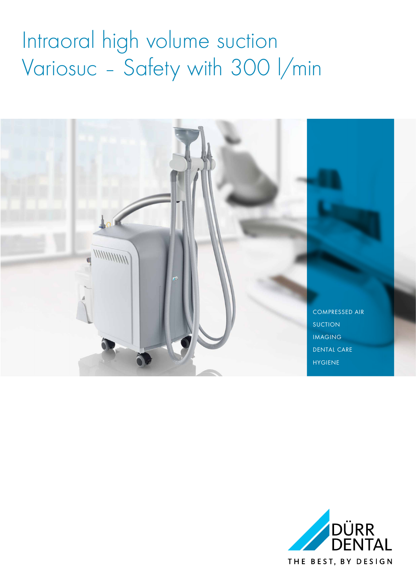## Intraoral high volume suction Variosuc - Safety with 300 l/min



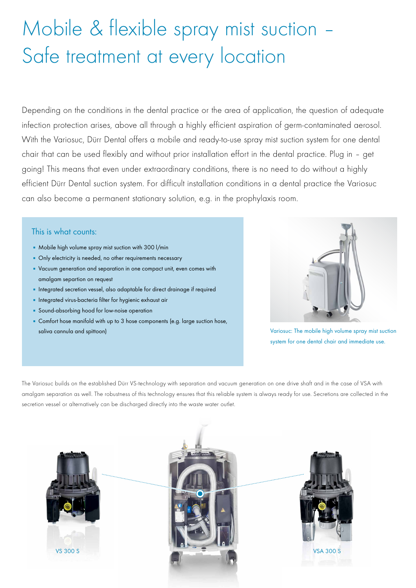### Mobile & flexible spray mist suction – Safe treatment at every location

Depending on the conditions in the dental practice or the area of application, the question of adequate infection protection arises, above all through a highly efficient aspiration of germ-contaminated aerosol. With the Variosuc, Dürr Dental offers a mobile and ready-to-use spray mist suction system for one dental chair that can be used flexibly and without prior installation effort in the dental practice. Plug in – get going! This means that even under extraordinary conditions, there is no need to do without a highly efficient Dürr Dental suction system. For difficult installation conditions in a dental practice the Variosuc can also become a permanent stationary solution, e.g. in the prophylaxis room.

### This is what counts:

- **Mobile high volume spray mist suction with 300 l/min**
- **Only electricity is needed, no other requirements necessary**
- Vacuum generation and separation in one compact unit, even comes with amalgam separtion on request
- **·** Integrated secretion vessel, also adaptable for direct drainage if required
- **·** Integrated virus-bacteria filter for hygienic exhaust air
- **Sound-absorbing hood for low-noise operation**
- **EXECOM** Comfort hose manifold with up to 3 hose components (e.g. large suction hose, saliva cannula and spittoon)



Variosuc: The mobile high volume spray mist suction system for one dental chair and immediate use.

The Variosuc builds on the established Dürr VS-technology with separation and vacuum generation on one drive shaft and in the case of VSA with amalgam separation as well. The robustness of this technology ensures that this reliable system is always ready for use. Secretions are collected in the secretion vessel or alternatively can be discharged directly into the waste water outlet.





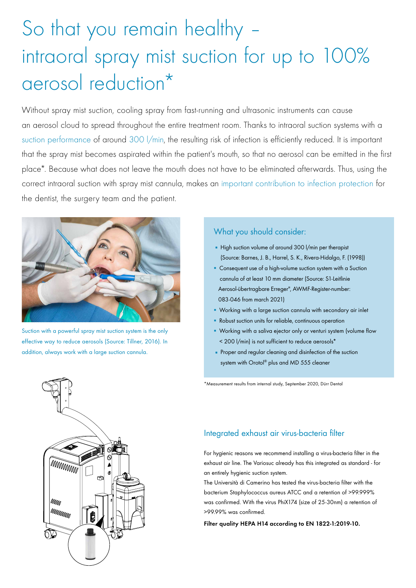## So that you remain healthy – intraoral spray mist suction for up to 100% aerosol reduction\*

Without spray mist suction, cooling spray from fast-running and ultrasonic instruments can cause an aerosol cloud to spread throughout the entire treatment room. Thanks to intraoral suction systems with a suction performance of around 300 l/min, the resulting risk of infection is efficiently reduced. It is important that the spray mist becomes aspirated within the patient's mouth, so that no aerosol can be emitted in the first place\*. Because what does not leave the mouth does not have to be eliminated afterwards. Thus, using the correct intraoral suction with spray mist cannula, makes an important contribution to infection protection for the dentist, the surgery team and the patient.



Suction with a powerful spray mist suction system is the only effective way to reduce aerosols (Source: Tillner, 2016). In addition, always work with a large suction cannula.

#### What you should consider:

- **.** High suction volume of around 300 l/min per therapist (Source: Barnes, J. B., Harrel, S. K., Rivera-Hidalgo, F. (1998))
- **Consequent use of a high-volume suction system with a Suction**  cannula of at least 10 mm diameter (Source: S1-Leitlinie Aerosol-übertragbare Erreger", AWMF-Register-number: 083-046 from march 2021)
- **Working with a large suction cannula with secondary air inlet**
- Robust suction units for reliable, continuous operation
- **E** Working with a saliva ejector only or venturi system (volume flow < 200 l/min) is not sufficient to reduce aerosols\*
- **Proper and regular cleaning and disinfection of the suction** system with Orotol® plus and MD 555 cleaner

\*Measurement results from internal study, September 2020, Dürr Dental



### Integrated exhaust air virus-bacteria filter

For hygienic reasons we recommend installing a virus-bacteria filter in the exhaust air line. The Variosuc already has this integrated as standard - for an entirely hygienic suction system.

The Università di Camerino has tested the virus-bacteria filter with the bacterium Staphylococcus aureus ATCC and a retention of >99.999% was confirmed. With the virus PhiX174 (size of 25-30nm) a retention of >99.99% was confirmed.

Filter quality HEPA H14 according to EN 1822-1:2019-10.